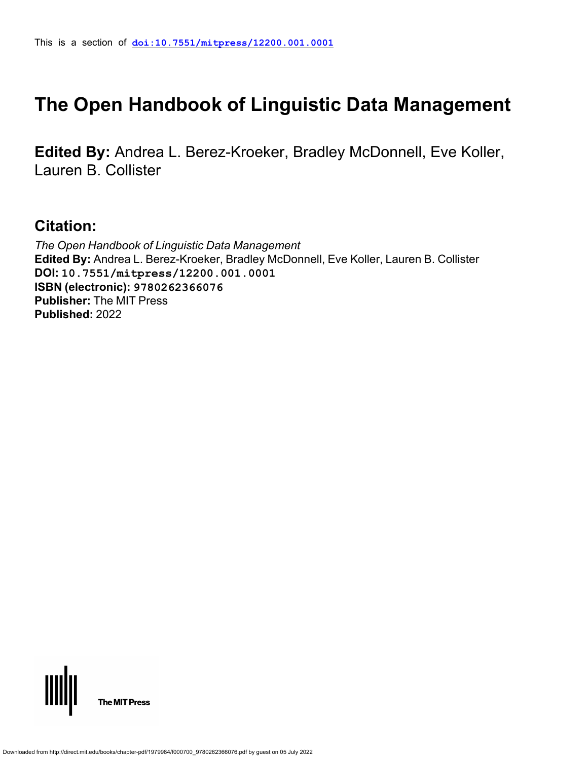## **The Open Handbook of Linguistic Data Management**

**Edited By:** Andrea L. Berez-Kroeker, Bradley McDonnell, Eve Koller, Lauren B. Collister

## **Citation:**

*The Open Handbook of Linguistic Data Management* **Edited By:** Andrea L. Berez-Kroeker, Bradley McDonnell, Eve Koller, Lauren B. Collister **DOI: 10.7551/mitpress/12200.001.0001 ISBN (electronic): 9780262366076 Publisher:** The MIT Press **Published:** 2022



**The MIT Press**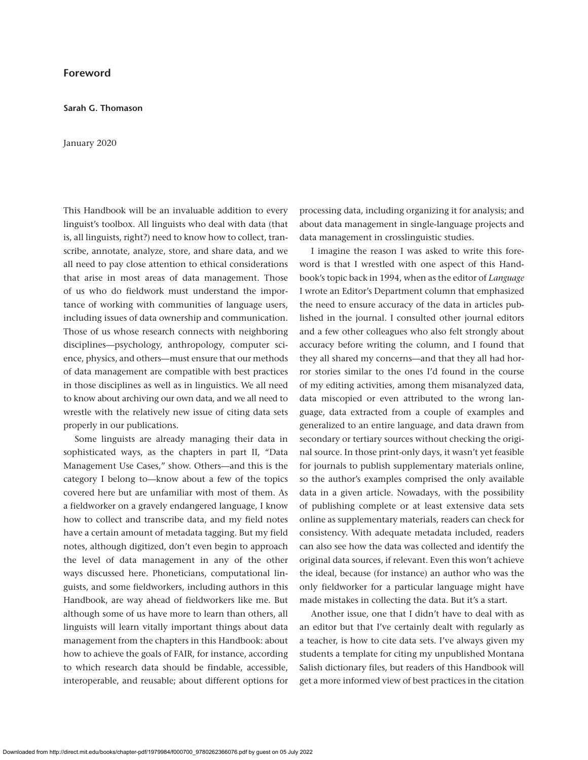## **Foreword**

## **Sarah G. Thomason**

January 2020

This Handbook will be an invaluable addition to every linguist's toolbox. All linguists who deal with data (that is, all linguists, right?) need to know how to collect, transcribe, annotate, analyze, store, and share data, and we all need to pay close attention to ethical considerations that arise in most areas of data management. Those of us who do fieldwork must understand the importance of working with communities of language users, including issues of data ownership and communication. Those of us whose research connects with neighboring disciplines—psychology, anthropology, computer science, physics, and others—must ensure that our methods of data management are compatible with best practices in those disciplines as well as in linguistics. We all need to know about archiving our own data, and we all need to wrestle with the relatively new issue of citing data sets properly in our publications.

Some linguists are already managing their data in sophisticated ways, as the chapters in part II, "Data Management Use Cases," show. Others—and this is the category I belong to—know about a few of the topics covered here but are unfamiliar with most of them. As a fieldworker on a gravely endangered language, I know how to collect and transcribe data, and my field notes have a certain amount of metadata tagging. But my field notes, although digitized, don't even begin to approach the level of data management in any of the other ways discussed here. Phoneticians, computational linguists, and some fieldworkers, including authors in this Handbook, are way ahead of fieldworkers like me. But although some of us have more to learn than others, all linguists will learn vitally important things about data management from the chapters in this Handbook: about how to achieve the goals of FAIR, for instance, according to which research data should be findable, accessible, interoperable, and reusable; about different options for

processing data, including organizing it for analysis; and about data management in single-language projects and data management in crosslinguistic studies.

I imagine the reason I was asked to write this foreword is that I wrestled with one aspect of this Handbook's topic back in 1994, when as the editor of *Language* I wrote an Editor's Department column that emphasized the need to ensure accuracy of the data in articles published in the journal. I consulted other journal editors and a few other colleagues who also felt strongly about accuracy before writing the column, and I found that they all shared my concerns—and that they all had horror stories similar to the ones I'd found in the course of my editing activities, among them misanalyzed data, data miscopied or even attributed to the wrong language, data extracted from a couple of examples and generalized to an entire language, and data drawn from secondary or tertiary sources without checking the original source. In those print-only days, it wasn't yet feasible for journals to publish supplementary materials online, so the author's examples comprised the only available data in a given article. Nowadays, with the possibility of publishing complete or at least extensive data sets online as supplementary materials, readers can check for consistency. With adequate metadata included, readers can also see how the data was collected and identify the original data sources, if relevant. Even this won't achieve the ideal, because (for instance) an author who was the only fieldworker for a particular language might have made mistakes in collecting the data. But it's a start.

Another issue, one that I didn't have to deal with as an editor but that I've certainly dealt with regularly as a teacher, is how to cite data sets. I've always given my students a template for citing my unpublished Montana Salish dictionary files, but readers of this Handbook will get a more informed view of best practices in the citation